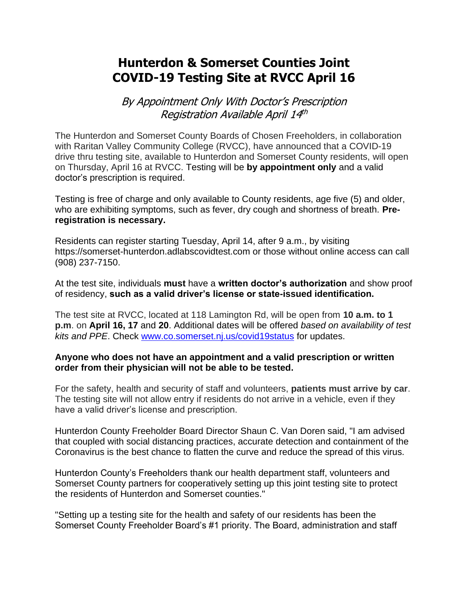## **Hunterdon & Somerset Counties Joint COVID-19 Testing Site at RVCC April 16**

By Appointment Only With Doctor's Prescription Registration Available April 14<sup>th</sup>

The Hunterdon and Somerset County Boards of Chosen Freeholders, in collaboration with Raritan Valley Community College (RVCC), have announced that a COVID-19 drive thru testing site, available to Hunterdon and Somerset County residents, will open on Thursday, April 16 at RVCC. Testing will be **by appointment only** and a valid doctor's prescription is required.

Testing is free of charge and only available to County residents, age five (5) and older, who are exhibiting symptoms, such as fever, dry cough and shortness of breath. **Preregistration is necessary.** 

Residents can register starting Tuesday, April 14, after 9 a.m., by visiting https://somerset-hunterdon.adlabscovidtest.com or those without online access can call (908) 237-7150.

At the test site, individuals **must** have a **written doctor's authorization** and show proof of residency, **such as a valid driver's license or state-issued identification.**

The test site at RVCC, located at 118 Lamington Rd, will be open from **10 a.m. to 1 p.m**. on **April 16, 17** and **20**. Additional dates will be offered *based on availability of test kits and PPE*. Check [www.co.somerset.nj.us/covid19status](http://www.co.somerset.nj.us/covid19status) for updates.

## **Anyone who does not have an appointment and a valid prescription or written order from their physician will not be able to be tested.**

For the safety, health and security of staff and volunteers, **patients must arrive by car**. The testing site will not allow entry if residents do not arrive in a vehicle, even if they have a valid driver's license and prescription.

Hunterdon County Freeholder Board Director Shaun C. Van Doren said, "I am advised that coupled with social distancing practices, accurate detection and containment of the Coronavirus is the best chance to flatten the curve and reduce the spread of this virus.

Hunterdon County's Freeholders thank our health department staff, volunteers and Somerset County partners for cooperatively setting up this joint testing site to protect the residents of Hunterdon and Somerset counties."

"Setting up a testing site for the health and safety of our residents has been the Somerset County Freeholder Board's #1 priority. The Board, administration and staff